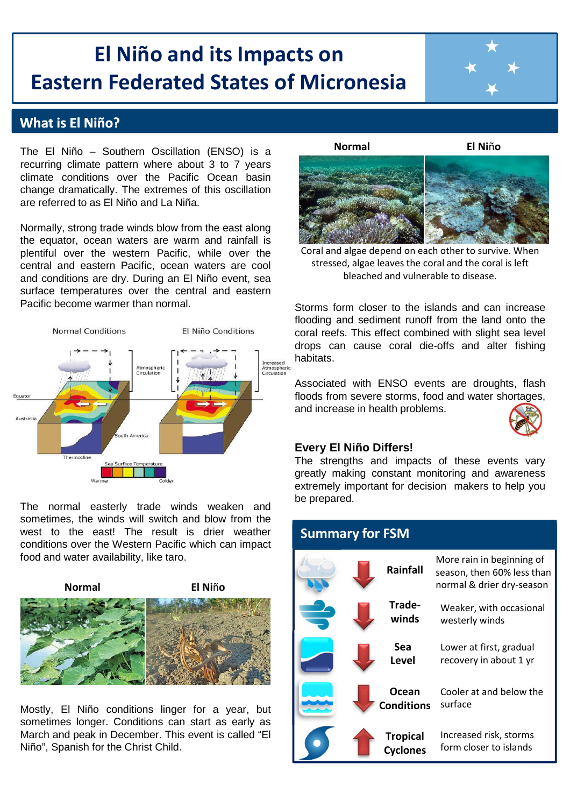# **El Niño and its Impacts on Eastern Federated States of Micronesia**

## **What is El Niño?**

The El Niño – Southern Oscillation (ENSO) is a recurring climate pattern where about 3 to 7 years climate conditions over the Pacific Ocean basin change dramatically. The extremes of this oscillation are referred to as El Niño and La Niña.

Normally, strong trade winds blow from the east along the equator, ocean waters are warm and rainfall is plentiful over the western Pacific, while over the central and eastern Pacific, ocean waters are cool and conditions are dry. During an El Niño event, sea surface temperatures over the central and eastern Pacific become warmer than normal.



The normal easterly trade winds weaken and sometimes, the winds will switch and blow from the west to the east! The result is drier weather conditions over the Western Pacific which can impact food and water availability, like taro.



Mostly, El Niño conditions linger for a year, but sometimes longer. Conditions can start as early as March and peak in December. This event is called "El Niño", Spanish for the Christ Child.



**Normal El Ni**ñ**o**



bleached and vulnerable to disease. Coral and algae depend on each other to survive. When stressed, algae leaves the coral and the coral is left

Storms form closer to the islands and can increase flooding and sediment runoff from the land onto the coral reefs. This effect combined with slight sea level drops can cause coral die-offs and alter fishing habitats.

Associated with ENSO events are droughts, flash floods from severe storms, food and water shortages, and increase in health problems.



### **Every El Niño Differs!**

The strengths and impacts of these events vary greatly making constant monitoring and awareness extremely important for decision makers to help you be prepared.

| <b>Summary for FSM</b> |                                    |                                                                                      |
|------------------------|------------------------------------|--------------------------------------------------------------------------------------|
|                        | Rainfall                           | More rain in beginning of<br>season, then 60% less than<br>normal & drier dry-season |
|                        | Trade-<br>winds                    | Weaker, with occasional<br>westerly winds                                            |
|                        | Sea<br><b>Level</b>                | Lower at first, gradual<br>recovery in about 1 yr                                    |
|                        | Ocean<br><b>Conditions</b>         | Cooler at and below the<br>surface                                                   |
|                        | <b>Tropical</b><br><b>Cyclones</b> | Increased risk, storms<br>form closer to islands                                     |